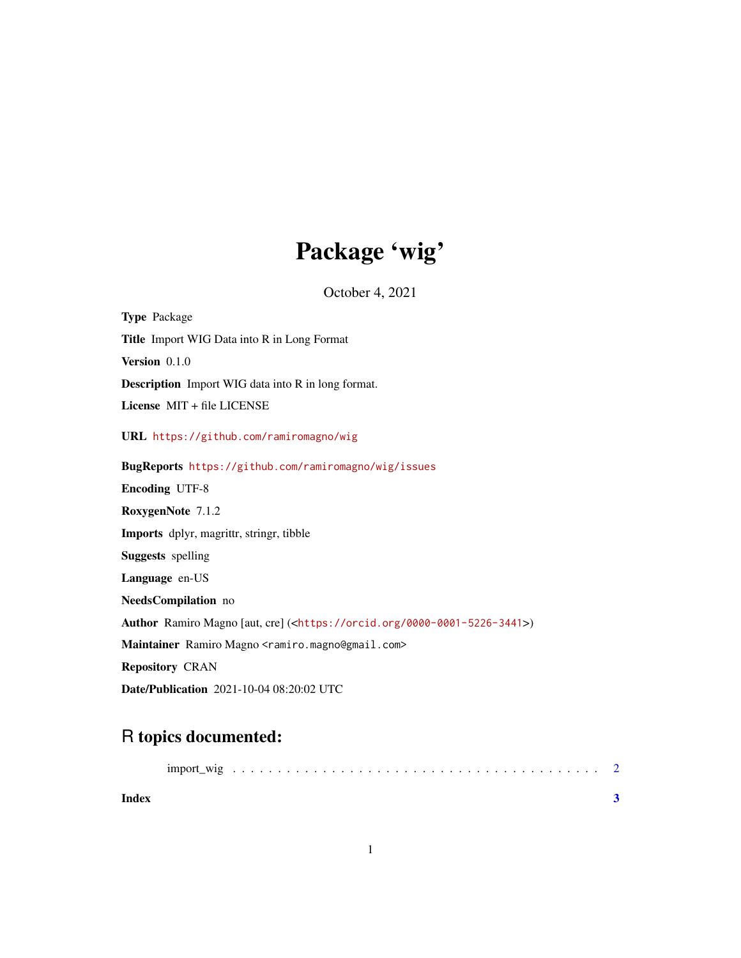## Package 'wig'

October 4, 2021

Type Package Title Import WIG Data into R in Long Format Version 0.1.0 Description Import WIG data into R in long format. License MIT + file LICENSE URL <https://github.com/ramiromagno/wig> BugReports <https://github.com/ramiromagno/wig/issues> Encoding UTF-8 RoxygenNote 7.1.2 Imports dplyr, magrittr, stringr, tibble Suggests spelling Language en-US NeedsCompilation no Author Ramiro Magno [aut, cre] (<<https://orcid.org/0000-0001-5226-3441>>) Maintainer Ramiro Magno <ramiro.magno@gmail.com> Repository CRAN Date/Publication 2021-10-04 08:20:02 UTC

### R topics documented:

| <b>Index</b> |  |  |  |  |  |  |  |  |  |  |  |  |  |  |  |  |  |  |
|--------------|--|--|--|--|--|--|--|--|--|--|--|--|--|--|--|--|--|--|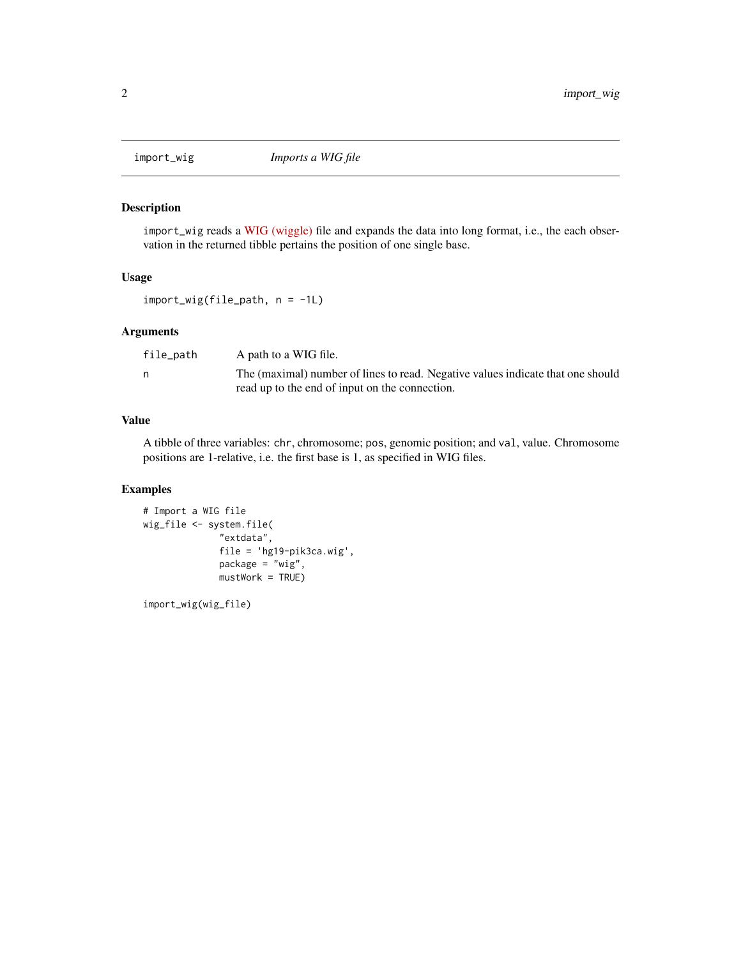<span id="page-1-0"></span>

#### Description

import\_wig reads a [WIG \(wiggle\)](https://m.ensembl.org/info/website/upload/wig.html) file and expands the data into long format, i.e., the each observation in the returned tibble pertains the position of one single base.

#### Usage

import\_wig(file\_path, n = -1L)

#### Arguments

| file_path | A path to a WIG file.                                                           |
|-----------|---------------------------------------------------------------------------------|
| n,        | The (maximal) number of lines to read. Negative values indicate that one should |
|           | read up to the end of input on the connection.                                  |

#### Value

A tibble of three variables: chr, chromosome; pos, genomic position; and val, value. Chromosome positions are 1-relative, i.e. the first base is 1, as specified in WIG files.

#### Examples

```
# Import a WIG file
wig_file <- system.file(
              "extdata",
              file = 'hg19-pik3ca.wig',
              package = "wig",
              mustWork = TRUE)
```
import\_wig(wig\_file)